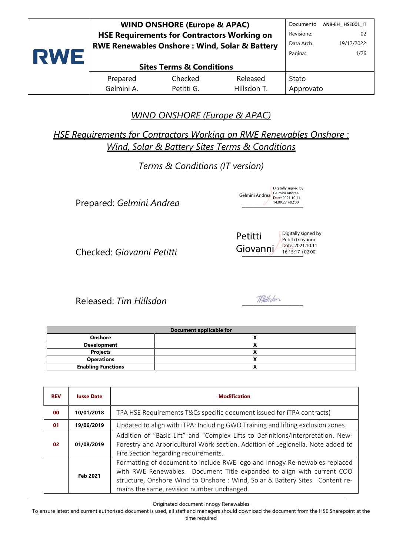|            | <b>WIND ONSHORE (Europe &amp; APAC)</b>                  |                                     |             |            | ANB-EH HSEO01 IT |
|------------|----------------------------------------------------------|-------------------------------------|-------------|------------|------------------|
|            | <b>HSE Requirements for Contractors Working on</b>       |                                     |             |            | 02               |
|            | <b>RWE Renewables Onshore: Wind, Solar &amp; Battery</b> |                                     |             | Data Arch. | 19/12/2022       |
| <b>RWE</b> |                                                          |                                     |             | Pagina:    | 1/26             |
|            |                                                          | <b>Sites Terms &amp; Conditions</b> |             |            |                  |
|            | Prepared                                                 | Checked                             | Released    | Stato      |                  |
|            | Gelmini A.                                               | Petitti G.                          | Hillsdon T. | Approvato  |                  |

# *WIND ONSHORE (Europe & APAC)*

*HSE Requirements for Contractors Working on RWE Renewables Onshore : Wind, Solar & Battery Sites Terms & Conditions*

*Terms & Conditions (IT version)*

Prepared: *Gelmini Andrea* \_\_\_\_\_\_\_\_\_\_\_\_\_\_\_\_

Checked: *Giovanni Petitti* \_\_\_\_\_\_\_\_\_\_\_\_\_\_\_\_

Released: *Tim Hillsdon* \_\_\_\_\_\_\_\_\_\_\_\_\_\_\_\_

Digitally signed by

Gelmini Andrea Gelmini Andrea Date: 2021.10.11

Digitally signed by<br>Gelmini Andrea 14:09:27 +02'00'

Petitti Giovanni Petitti Giovanni Date: 2021.10.11 16:15:17 +02'00'

**Document applicable for Onshore X Development X Projects X Operations X Enabling Functions X**

| <b>REV</b> | <b>lusse Date</b> | <b>Modification</b>                                                                                                                                                                                                                                                                 |
|------------|-------------------|-------------------------------------------------------------------------------------------------------------------------------------------------------------------------------------------------------------------------------------------------------------------------------------|
| 00         | 10/01/2018        | TPA HSE Requirements T&Cs specific document issued for iTPA contracts(                                                                                                                                                                                                              |
| 01         | 19/06/2019        | Updated to align with iTPA: Including GWO Training and lifting exclusion zones                                                                                                                                                                                                      |
| 02         | 01/08/2019        | Addition of "Basic Lift" and "Complex Lifts to Definitions/Interpretation. New-<br>Forestry and Arboricultural Work section. Addition of Legionella. Note added to<br>Fire Section regarding requirements.                                                                          |
|            | Feb 2021          | Formatting of document to include RWE logo and Innogy Re-newables replaced<br>with RWE Renewables. Document Title expanded to align with current COO<br>structure, Onshore Wind to Onshore : Wind, Solar & Battery Sites. Content re-<br>mains the same, revision number unchanged. |

Originated document Innogy Renewables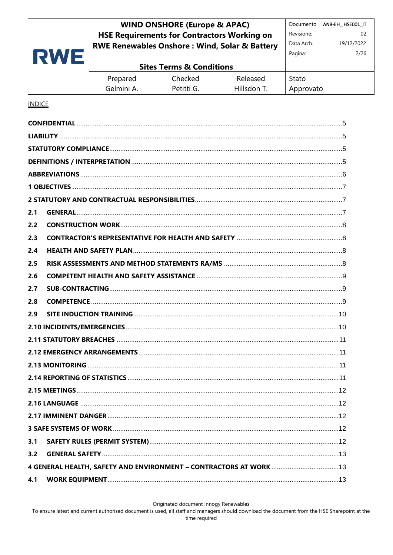#### **WIND ONSHORE (Europe & APAC)** Documento ANB-EH\_HSE001\_IT **HSE Requirements for Contractors Working on** Revisione:  $0<sup>2</sup>$ Data Arch. 19/12/2022 **RWE Renewables Onshore: Wind, Solar & Battery RWE** Pagina:  $2/26$ **Sites Terms & Conditions**

| Prepared   | Checked    | Released    | Stato     |
|------------|------------|-------------|-----------|
| Gelmini A. | Petitti G. | Hillsdon T. | Approvato |

#### **INDICE**

| 2.1 |  |
|-----|--|
| 2.2 |  |
| 2.3 |  |
| 2.4 |  |
| 2.5 |  |
| 2.6 |  |
| 2.7 |  |
| 2.8 |  |
| 2.9 |  |
|     |  |
|     |  |
|     |  |
|     |  |
|     |  |
|     |  |
|     |  |
|     |  |
|     |  |
| 3.1 |  |
| 3.2 |  |
|     |  |
| 4.1 |  |
|     |  |

Originated document Innogy Renewables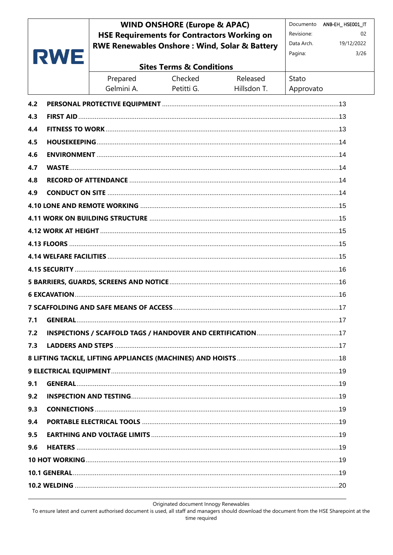|     |     |                                                          | <b>WIND ONSHORE (Europe &amp; APAC)</b><br><b>HSE Requirements for Contractors Working on</b> |             | Revisione: | Documento ANB-EH_HSE001_IT<br>02 |
|-----|-----|----------------------------------------------------------|-----------------------------------------------------------------------------------------------|-------------|------------|----------------------------------|
|     |     | <b>RWE Renewables Onshore: Wind, Solar &amp; Battery</b> |                                                                                               |             | Data Arch. | 19/12/2022                       |
|     | RWE |                                                          |                                                                                               |             | Pagina:    | 3/26                             |
|     |     |                                                          | <b>Sites Terms &amp; Conditions</b>                                                           |             |            |                                  |
|     |     | Prepared                                                 | Checked                                                                                       | Released    | Stato      |                                  |
|     |     | Gelmini A.                                               | Petitti G.                                                                                    | Hillsdon T. | Approvato  |                                  |
| 4.2 |     |                                                          |                                                                                               |             |            |                                  |
| 4.3 |     |                                                          |                                                                                               |             |            |                                  |
| 4.4 |     |                                                          |                                                                                               |             |            |                                  |
| 4.5 |     |                                                          |                                                                                               |             |            |                                  |
| 4.6 |     |                                                          |                                                                                               |             |            |                                  |
| 4.7 |     |                                                          |                                                                                               |             |            |                                  |
| 4.8 |     |                                                          |                                                                                               |             |            |                                  |
| 4.9 |     |                                                          |                                                                                               |             |            |                                  |
|     |     |                                                          |                                                                                               |             |            |                                  |
|     |     |                                                          |                                                                                               |             |            |                                  |
|     |     |                                                          |                                                                                               |             |            |                                  |
|     |     |                                                          |                                                                                               |             |            |                                  |
|     |     |                                                          |                                                                                               |             |            |                                  |
|     |     |                                                          |                                                                                               |             |            |                                  |
|     |     |                                                          |                                                                                               |             |            |                                  |
|     |     |                                                          |                                                                                               |             |            |                                  |
| 7.1 |     |                                                          |                                                                                               |             |            |                                  |
| 7.2 |     |                                                          |                                                                                               |             |            |                                  |
| 7.3 |     |                                                          |                                                                                               |             |            |                                  |
|     |     |                                                          |                                                                                               |             |            |                                  |
|     |     |                                                          |                                                                                               |             |            |                                  |
| 9.1 |     |                                                          |                                                                                               |             |            |                                  |
| 9.2 |     |                                                          |                                                                                               |             |            |                                  |
| 9.3 |     |                                                          |                                                                                               |             |            |                                  |
| 9.4 |     |                                                          |                                                                                               |             |            |                                  |
| 9.5 |     |                                                          |                                                                                               |             |            |                                  |
| 9.6 |     |                                                          |                                                                                               |             |            |                                  |
|     |     |                                                          |                                                                                               |             |            |                                  |
|     |     |                                                          |                                                                                               |             |            |                                  |
|     |     |                                                          |                                                                                               |             |            |                                  |

Originated document Innogy Renewables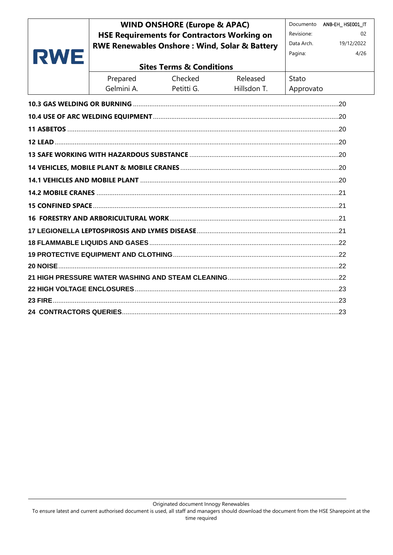# **WIND ONSHORE (Europe & APAC) HSE Requirements for Contractors Working on RWE Renewables Onshore: Wind, Solar & Battery**

Documento ANB-EH\_HSE001\_IT Revisione:  $02$ Data Arch. 19/12/2022

| RWE |            |                                     |             | Pagina:   | 4/26 |
|-----|------------|-------------------------------------|-------------|-----------|------|
|     |            | <b>Sites Terms &amp; Conditions</b> |             |           |      |
|     | Prepared   | Checked                             | Released    | Stato     |      |
|     | Gelmini A. | Petitti G.                          | Hillsdon T. | Approvato |      |
|     |            |                                     |             |           |      |
|     |            |                                     |             |           |      |
|     |            |                                     |             |           |      |
|     |            |                                     |             |           |      |
|     |            |                                     |             |           |      |
|     |            |                                     |             |           |      |
|     |            |                                     |             |           |      |
|     |            |                                     |             |           |      |
|     |            |                                     |             |           |      |
|     |            |                                     |             |           |      |
|     |            |                                     |             |           |      |
|     |            |                                     |             |           |      |
|     |            |                                     |             |           |      |
|     |            |                                     |             |           |      |
|     |            |                                     |             |           |      |
|     |            |                                     |             |           |      |
|     |            |                                     |             |           |      |
|     |            |                                     |             |           |      |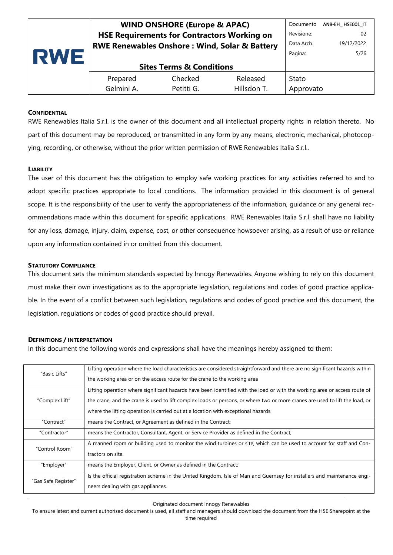| <b>RWE</b> | <b>WIND ONSHORE (Europe &amp; APAC)</b>                  |                                     |             | Documento  | ANB-EH HSE001 IT |
|------------|----------------------------------------------------------|-------------------------------------|-------------|------------|------------------|
|            | <b>HSE Requirements for Contractors Working on</b>       |                                     |             |            | 02               |
|            | <b>RWE Renewables Onshore: Wind, Solar &amp; Battery</b> |                                     |             | Data Arch. | 19/12/2022       |
|            |                                                          |                                     |             | Pagina:    | 5/26             |
|            |                                                          | <b>Sites Terms &amp; Conditions</b> |             |            |                  |
|            | Prepared                                                 | Checked                             | Released    | Stato      |                  |
|            | Gelmini A.                                               | Petitti G.                          | Hillsdon T. | Approvato  |                  |

#### <span id="page-4-0"></span>**CONFIDENTIAL**

RWE Renewables Italia S.r.l. is the owner of this document and all intellectual property rights in relation thereto. No part of this document may be reproduced, or transmitted in any form by any means, electronic, mechanical, photocopying, recording, or otherwise, without the prior written permission of RWE Renewables Italia S.r.l..

#### <span id="page-4-1"></span>**LIABILITY**

The user of this document has the obligation to employ safe working practices for any activities referred to and to adopt specific practices appropriate to local conditions. The information provided in this document is of general scope. It is the responsibility of the user to verify the appropriateness of the information, guidance or any general recommendations made within this document for specific applications. RWE Renewables Italia S.r.l. shall have no liability for any loss, damage, injury, claim, expense, cost, or other consequence howsoever arising, as a result of use or reliance upon any information contained in or omitted from this document.

#### <span id="page-4-2"></span>**STATUTORY COMPLIANCE**

This document sets the minimum standards expected by Innogy Renewables. Anyone wishing to rely on this document must make their own investigations as to the appropriate legislation, regulations and codes of good practice applicable. In the event of a conflict between such legislation, regulations and codes of good practice and this document, the legislation, regulations or codes of good practice should prevail.

#### <span id="page-4-3"></span>**DEFINITIONS / INTERPRETATION**

In this document the following words and expressions shall have the meanings hereby assigned to them:

|                     | Lifting operation where the load characteristics are considered straightforward and there are no significant hazards within               |
|---------------------|-------------------------------------------------------------------------------------------------------------------------------------------|
| "Basic Lifts"       | the working area or on the access route for the crane to the working area                                                                 |
|                     | Lifting operation where significant hazards have been identified with the load or with the working area or access route of                |
| "Complex Lift"      | the crane, and the crane is used to lift complex loads or persons, or where two or more cranes are used to lift the load, or              |
|                     | where the lifting operation is carried out at a location with exceptional hazards.                                                        |
| "Contract"          | means the Contract, or Agreement as defined in the Contract;                                                                              |
| "Contractor"        | means the Contractor, Consultant, Agent, or Service Provider as defined in the Contract;                                                  |
| "Control Room'      | A manned room or building used to monitor the wind turbines or site, which can be used to account for staff and Con-<br>tractors on site. |
| "Employer"          | means the Employer, Client, or Owner as defined in the Contract;                                                                          |
|                     | Is the official registration scheme in the United Kingdom, Isle of Man and Guernsey for installers and maintenance engi-                  |
| "Gas Safe Register" | neers dealing with gas appliances.                                                                                                        |

Originated document Innogy Renewables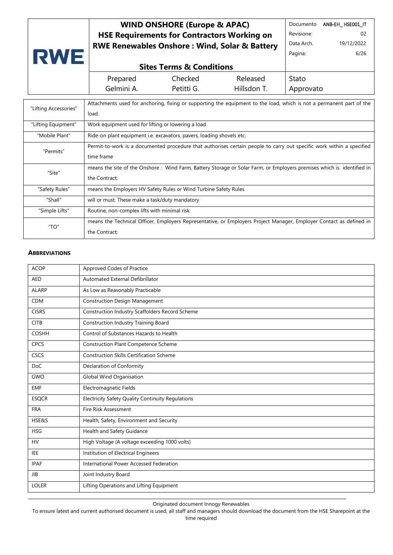# **WIND ONSHORE (Europe & APAC) HSE Requirements for Contractors Working on RWE Renewables Onshore : Wind, Solar & Battery**

Documento ANB-EH\_ HSE001\_IT Revisione: 02 Data Arch. 19/12/2022 Pagina: 6/26

| <b>Sites Terms &amp; Conditions</b> |            |             |           |
|-------------------------------------|------------|-------------|-----------|
| Prepared                            | Checked    | Released    | Stato -   |
| Gelmini A.                          | Petitti G. | Hillsdon T. | Approvato |

| Attachments used for anchoring, fixing or supporting the equipment to the load, which is not a permanent part of the<br>"Lifting Accessories"<br>load. |  |
|--------------------------------------------------------------------------------------------------------------------------------------------------------|--|
|                                                                                                                                                        |  |
|                                                                                                                                                        |  |
|                                                                                                                                                        |  |
| "Lifting Equipment"<br>Work equipment used for lifting or lowering a load                                                                              |  |
|                                                                                                                                                        |  |
| "Mobile Plant"<br>Ride-on plant equipment i.e. excavators, pavers, loading shovels etc.                                                                |  |
| Permit-to-work is a documented procedure that authorises certain people to carry out specific work within a specified                                  |  |
| "Permits"<br>time frame                                                                                                                                |  |
|                                                                                                                                                        |  |
| means the site of the Onshore: Wind Farm, Battery Storage or Solar Farm, or Employers premises which is identified in                                  |  |
| "Site"<br>the Contract;                                                                                                                                |  |
|                                                                                                                                                        |  |
| "Safety Rules"<br>means the Employers HV Safety Rules or Wind Turbine Safety Rules                                                                     |  |
| "Shall"<br>will or must. These make a task/duty mandatory                                                                                              |  |
|                                                                                                                                                        |  |
| "Simple Lifts"<br>Routine, non-complex lifts with minimal risk                                                                                         |  |
|                                                                                                                                                        |  |
| means the Technical Officer, Employers Representative, or Employers Project Manager, Employer Contact as defined in<br>"TO"                            |  |
| the Contract;                                                                                                                                          |  |

#### <span id="page-5-0"></span>**ABBREVIATIONS**

**RWE** 

| <b>ACOP</b>  | Approved Codes of Practice                        |
|--------------|---------------------------------------------------|
| <b>AED</b>   | Automated External Defibrillator                  |
| <b>ALARP</b> | As Low as Reasonably Practicable                  |
| <b>CDM</b>   | <b>Construction Design Management</b>             |
| <b>CISRS</b> | Construction Industry Scaffolders Record Scheme   |
| <b>CITB</b>  | <b>Construction Industry Training Board</b>       |
| <b>COSHH</b> | Control of Substances Hazards to Health           |
| CPCS         | <b>Construction Plant Competence Scheme</b>       |
| CSCS         | <b>Construction Skills Certification Scheme</b>   |
| <b>DoC</b>   | Declaration of Conformity                         |
| GWO          | <b>Global Wind Organisation</b>                   |
| <b>EMF</b>   | Electromagnetic Fields                            |
| <b>ESQCR</b> | Electricity Safety Quality Continuity Regulations |
| <b>FRA</b>   | Fire Risk Assessment                              |
| HSE&S        | Health, Safety, Environment and Security          |
| <b>HSG</b>   | Health and Safety Guidance                        |
| <b>HV</b>    | High Voltage (A voltage exceeding 1000 volts)     |
| <b>IEE</b>   | Institution of Electrical Engineers               |
| <b>IPAF</b>  | International Power Accessed Federation           |
| <b>JIB</b>   | Joint Industry Board                              |
| <b>LOLER</b> | Lifting Operations and Lifting Equipment          |

Originated document Innogy Renewables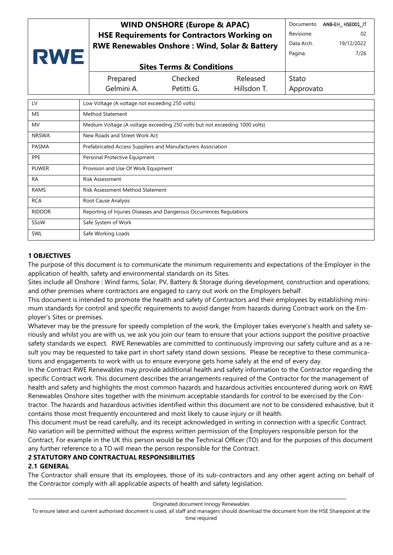| <b>RWE</b>   |  | <b>WIND ONSHORE (Europe &amp; APAC)</b><br><b>HSE Requirements for Contractors Working on</b><br><b>RWE Renewables Onshore: Wind, Solar &amp; Battery</b> |            |             | Documento<br>ANB-EH HSE001 IT<br>Revisione:<br>02<br>Data Arch.<br>19/12/2022<br>Pagina:<br>7/26 |  |
|--------------|--|-----------------------------------------------------------------------------------------------------------------------------------------------------------|------------|-------------|--------------------------------------------------------------------------------------------------|--|
|              |  | <b>Sites Terms &amp; Conditions</b>                                                                                                                       |            |             |                                                                                                  |  |
|              |  | Prepared                                                                                                                                                  | Checked    | Released    | Stato                                                                                            |  |
|              |  | Gelmini A.                                                                                                                                                | Petitti G. | Hillsdon T. | Approvato                                                                                        |  |
| LV           |  | Low Voltage (A voltage not exceeding 250 volts)                                                                                                           |            |             |                                                                                                  |  |
| <b>MS</b>    |  | <b>Method Statement</b>                                                                                                                                   |            |             |                                                                                                  |  |
| <b>MV</b>    |  | Medium Voltage (A voltage exceeding 250 volts but not exceeding 1000 volts)                                                                               |            |             |                                                                                                  |  |
| <b>NRSWA</b> |  | New Roads and Street Work Act                                                                                                                             |            |             |                                                                                                  |  |
| <b>PASMA</b> |  | Prefabricated Access Suppliers and Manufacturers Association                                                                                              |            |             |                                                                                                  |  |
| <b>PPE</b>   |  | Personal Protective Equipment                                                                                                                             |            |             |                                                                                                  |  |
|              |  |                                                                                                                                                           |            |             |                                                                                                  |  |

| <b>PUWER</b>  | Provision and Use Of Work Equipment                                  |
|---------------|----------------------------------------------------------------------|
| RA            | Risk Assessment                                                      |
| RAMS          | Risk Assessment Method Statement                                     |
| <b>RCA</b>    | Root Cause Analysis                                                  |
| <b>RIDDOR</b> | Reporting of Injuries Diseases and Dangerous Occurrences Regulations |
| SSoW          | Safe System of Work                                                  |
| SWL           | Safe Working Loads                                                   |

# <span id="page-6-0"></span>**1 OBJECTIVES**

The purpose of this document is to communicate the minimum requirements and expectations of the Employer in the application of health, safety and environmental standards on its Sites.

Sites include all Onshore : Wind farms, Solar, PV, Battery & Storage during development, construction and operations; and other premises where contractors are engaged to carry out work on the Employers behalf.

This document is intended to promote the health and safety of Contractors and their employees by establishing minimum standards for control and specific requirements to avoid danger from hazards during Contract work on the Employer's Sites or premises.

Whatever may be the pressure for speedy completion of the work, the Employer takes everyone's health and safety seriously and whilst you are with us, we ask you join our team to ensure that your actions support the positive proactive safety standards we expect. RWE Renewables are committed to continuously improving our safety culture and as a result you may be requested to take part in short safety stand down sessions. Please be receptive to these communications and engagements to work with us to ensure everyone gets home safely at the end of every day.

In the Contract RWE Renewables may provide additional health and safety information to the Contractor regarding the specific Contract work. This document describes the arrangements required of the Contractor for the management of health and safety and highlights the most common hazards and hazardous activities encountered during work on RWE Renewables Onshore sites together with the minimum acceptable standards for control to be exercised by the Contractor. The hazards and hazardous activities identified within this document are not to be considered exhaustive, but it contains those most frequently encountered and most likely to cause injury or ill health.

This document must be read carefully, and its receipt acknowledged in writing in connection with a specific Contract. No variation will be permitted without the express written permission of the Employers responsible person for the Contract, For example in the UK this person would be the Technical Officer (TO) and for the purposes of this document any further reference to a TO will mean the person responsible for the Contract.

### <span id="page-6-1"></span>**2 STATUTORY AND CONTRACTUAL RESPONSIBILITIES**

#### <span id="page-6-2"></span>**2.1 GENERAL**

The Contractor shall ensure that its employees, those of its sub-contractors and any other agent acting on behalf of the Contractor comply with all applicable aspects of health and safety legislation.

To ensure latest and current authorised document is used, all staff and managers should download the document from the HSE Sharepoint at the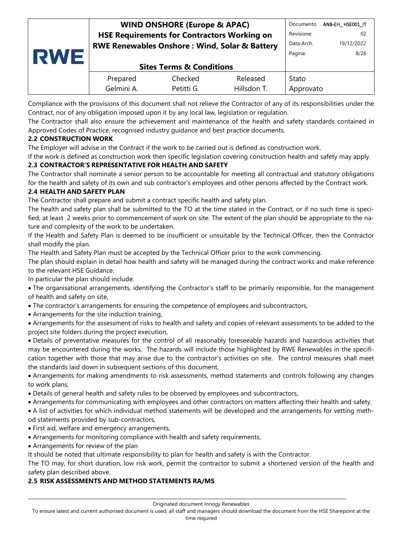| Revisione:<br><b>HSE Requirements for Contractors Working on</b>       | 02         |
|------------------------------------------------------------------------|------------|
|                                                                        |            |
| Data Arch.<br><b>RWE Renewables Onshore: Wind, Solar &amp; Battery</b> | 19/12/2022 |
| Pagina:<br><b>RWE</b>                                                  | 8/26       |
| <b>Sites Terms &amp; Conditions</b>                                    |            |
| Checked<br>Released<br>Prepared<br>Stato                               |            |
| Gelmini A.<br>Hillsdon T.<br>Petitti G.<br>Approvato                   |            |

Compliance with the provisions of this document shall not relieve the Contractor of any of its responsibilities under the Contract, nor of any obligation imposed upon it by any local law, legislation or regulation.

The Contractor shall also ensure the achievement and maintenance of the health and safety standards contained in Approved Codes of Practice, recognised industry guidance and best practice documents.

# <span id="page-7-0"></span>**2.2 CONSTRUCTION WORK**

The Employer will advise in the Contract if the work to be carried out is defined as construction work.

If the work is defined as construction work then specific legislation covering construction health and safety may apply.

# <span id="page-7-1"></span>**2.3 CONTRACTOR'S REPRESENTATIVE FOR HEALTH AND SAFETY**

The Contractor shall nominate a senior person to be accountable for meeting all contractual and statutory obligations for the health and safety of its own and sub contractor's employees and other persons affected by the Contract work.

# <span id="page-7-2"></span>**2.4 HEALTH AND SAFETY PLAN**

The Contractor shall prepare and submit a contract specific health and safety plan.

The health and safety plan shall be submitted to the TO at the time stated in the Contract, or if no such time is specified, at least 2 weeks prior to commencement of work on site. The extent of the plan should be appropriate to the nature and complexity of the work to be undertaken.

If the Health and Safety Plan is deemed to be insufficient or unsuitable by the Technical Officer, then the Contractor shall modify the plan.

The Health and Safety Plan must be accepted by the Technical Officer prior to the work commencing.

The plan should explain in detail how health and safety will be managed during the contract works and make reference to the relevant HSE Guidance.

In particular the plan should include:

• The organisational arrangements, identifying the Contractor's staff to be primarily responsible, for the management of health and safety on site,

- The contractor's arrangements for ensuring the competence of employees and subcontractors,
- Arrangements for the site induction training,

• Arrangements for the assessment of risks to health and safety and copies of relevant assessments to be added to the project site folders during the project execution,

• Details of preventative measures for the control of all reasonably foreseeable hazards and hazardous activities that may be encountered during the works, The hazards will include those highlighted by RWE Renewables in the specification together with those that may arise due to the contractor's activities on site. The control measures shall meet the standards laid down in subsequent sections of this document,

• Arrangements for making amendments to risk assessments, method statements and controls following any changes to work plans,

• Details of general health and safety rules to be observed by employees and subcontractors,

• Arrangements for communicating with employees and other contractors on matters affecting their health and safety,

• A list of activities for which individual method statements will be developed and the arrangements for vetting method statements provided by sub-contractors,

- First aid, welfare and emergency arrangements,
- Arrangements for monitoring compliance with health and safety requirements,
- Arrangements for review of the plan

It should be noted that ultimate responsibility to plan for health and safety is with the Contractor.

The TO may, for short duration, low risk work, permit the contractor to submit a shortened version of the health and safety plan described above.

# <span id="page-7-3"></span>**2.5 RISK ASSESSMENTS AND METHOD STATEMENTS RA/MS**

To ensure latest and current authorised document is used, all staff and managers should download the document from the HSE Sharepoint at the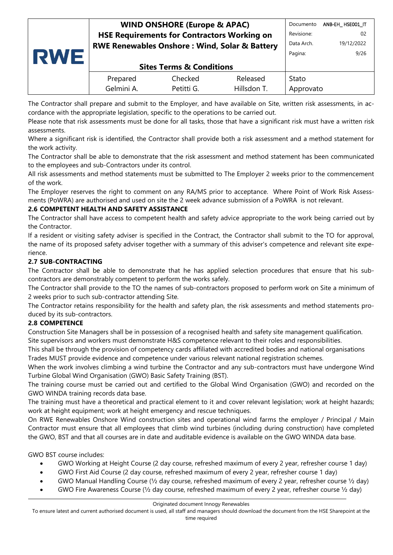| RWE | <b>WIND ONSHORE (Europe &amp; APAC)</b>                  |            |             | Documento  | ANB-EH HSEO01 IT |
|-----|----------------------------------------------------------|------------|-------------|------------|------------------|
|     | <b>HSE Requirements for Contractors Working on</b>       |            |             |            | 02               |
|     | <b>RWE Renewables Onshore: Wind, Solar &amp; Battery</b> |            |             | Data Arch. | 19/12/2022       |
|     |                                                          |            |             | Pagina:    | 9/26             |
|     | <b>Sites Terms &amp; Conditions</b>                      |            |             |            |                  |
|     | Prepared                                                 | Checked    | Released    | Stato      |                  |
|     | Gelmini A.                                               | Petitti G. | Hillsdon T. | Approvato  |                  |
|     |                                                          |            |             |            |                  |

The Contractor shall prepare and submit to the Employer, and have available on Site, written risk assessments, in accordance with the appropriate legislation, specific to the operations to be carried out.

Please note that risk assessments must be done for all tasks, those that have a significant risk must have a written risk assessments.

Where a significant risk is identified, the Contractor shall provide both a risk assessment and a method statement for the work activity.

The Contractor shall be able to demonstrate that the risk assessment and method statement has been communicated to the employees and sub-Contractors under its control.

All risk assessments and method statements must be submitted to The Employer 2 weeks prior to the commencement of the work.

The Employer reserves the right to comment on any RA/MS prior to acceptance. Where Point of Work Risk Assessments (PoWRA) are authorised and used on site the 2 week advance submission of a PoWRA is not relevant.

### <span id="page-8-0"></span>**2.6 COMPETENT HEALTH AND SAFETY ASSISTANCE**

The Contractor shall have access to competent health and safety advice appropriate to the work being carried out by the Contractor.

If a resident or visiting safety adviser is specified in the Contract, the Contractor shall submit to the TO for approval, the name of its proposed safety adviser together with a summary of this adviser's competence and relevant site experience.

### <span id="page-8-1"></span>**2.7 SUB-CONTRACTING**

The Contractor shall be able to demonstrate that he has applied selection procedures that ensure that his subcontractors are demonstrably competent to perform the works safely.

The Contractor shall provide to the TO the names of sub-contractors proposed to perform work on Site a minimum of 2 weeks prior to such sub-contractor attending Site.

The Contractor retains responsibility for the health and safety plan, the risk assessments and method statements produced by its sub-contractors.

### <span id="page-8-2"></span>**2.8 COMPETENCE**

Construction Site Managers shall be in possession of a recognised health and safety site management qualification.

Site supervisors and workers must demonstrate H&S competence relevant to their roles and responsibilities.

This shall be through the provision of competency cards affiliated with accredited bodies and national organisations Trades MUST provide evidence and competence under various relevant national registration schemes.

When the work involves climbing a wind turbine the Contractor and any sub-contractors must have undergone Wind Turbine Global Wind Organisation (GWO) Basic Safety Training (BST).

The training course must be carried out and certified to the Global Wind Organisation (GWO) and recorded on the GWO WINDA training records data base.

The training must have a theoretical and practical element to it and cover relevant legislation; work at height hazards; work at height equipment; work at height emergency and rescue techniques.

On RWE Renewables Onshore Wind construction sites and operational wind farms the employer / Principal / Main Contractor must ensure that all employees that climb wind turbines (including during construction) have completed the GWO, BST and that all courses are in date and auditable evidence is available on the GWO WINDA data base.

GWO BST course includes:

- GWO Working at Height Course (2 day course, refreshed maximum of every 2 year, refresher course 1 day)
- GWO First Aid Course (2 day course, refreshed maximum of every 2 year, refresher course 1 day)
- GWO Manual Handling Course (½ day course, refreshed maximum of every 2 year, refresher course ½ day)
- GWO Fire Awareness Course (½ day course, refreshed maximum of every 2 year, refresher course ½ day)

Originated document Innogy Renewables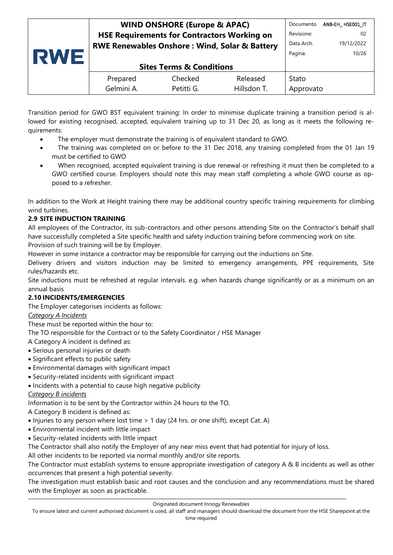| <b>RWE</b> | <b>WIND ONSHORE (Europe &amp; APAC)</b>                  |            |             | Documento | ANB-EH HSE001 IT |
|------------|----------------------------------------------------------|------------|-------------|-----------|------------------|
|            | <b>HSE Requirements for Contractors Working on</b>       |            |             |           | 02               |
|            | <b>RWE Renewables Onshore: Wind, Solar &amp; Battery</b> |            |             |           | 19/12/2022       |
|            |                                                          | Pagina:    | 10/26       |           |                  |
|            | <b>Sites Terms &amp; Conditions</b>                      |            |             |           |                  |
|            | Prepared                                                 | Checked    | Released    | Stato     |                  |
|            | Gelmini A.                                               | Petitti G. | Hillsdon T. | Approvato |                  |
|            |                                                          |            |             |           |                  |

Transition period for GWO BST equivalent training: In order to minimise duplicate training a transition period is allowed for existing recognised, accepted, equivalent training up to 31 Dec 20, as long as it meets the following requirements:

- The employer must demonstrate the training is of equivalent standard to GWO.
- The training was completed on or before to the 31 Dec 2018, any training completed from the 01 Jan 19 must be certified to GWO
- When recognised, accepted equivalent training is due renewal or refreshing it must then be completed to a GWO certified course. Employers should note this may mean staff completing a whole GWO course as opposed to a refresher.

In addition to the Work at Height training there may be additional country specific training requirements for climbing wind turbines.

### <span id="page-9-0"></span>**2.9 SITE INDUCTION TRAINING**

All employees of the Contractor, its sub-contractors and other persons attending Site on the Contractor's behalf shall have successfully completed a Site specific health and safety induction training before commencing work on site. Provision of such training will be by Employer.

However in some instance a contractor may be responsible for carrying out the inductions on Site.

Delivery drivers and visitors induction may be limited to emergency arrangements, PPE requirements, Site rules/hazards etc.

Site inductions must be refreshed at regular intervals. e.g. when hazards change significantly or as a minimum on an annual basis

#### <span id="page-9-1"></span>**2.10 INCIDENTS/EMERGENCIES**

The Employer categorises incidents as follows:

### *Category A Incidents*

These must be reported within the hour to:

The TO responsible for the Contract or to the Safety Coordinator / HSE Manager

- A Category A incident is defined as:
- Serious personal injuries or death
- Significant effects to public safety
- Environmental damages with significant impact
- Security-related incidents with significant impact
- Incidents with a potential to cause high negative publicity

#### *Category B incidents*

Information is to be sent by the Contractor within 24 hours to the TO.

- A Category B incident is defined as:
- Injuries to any person where lost time > 1 day (24 hrs. or one shift), except Cat. A)
- Environmental incident with little impact
- Security-related incidents with little impact

The Contractor shall also notify the Employer of any near miss event that had potential for injury of loss.

All other incidents to be reported via normal monthly and/or site reports.

The Contractor must establish systems to ensure appropriate investigation of category A & B incidents as well as other occurrences that present a high potential severity.

The investigation must establish basic and root causes and the conclusion and any recommendations must be shared with the Employer as soon as practicable.

To ensure latest and current authorised document is used, all staff and managers should download the document from the HSE Sharepoint at the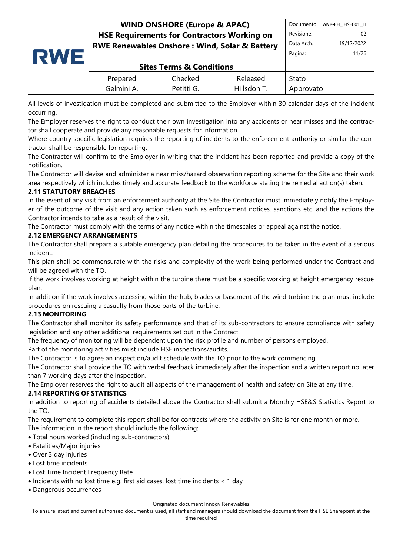| RWE | <b>WIND ONSHORE (Europe &amp; APAC)</b>                  |            |             | Documento  | ANB-EH_HSE001_IT |
|-----|----------------------------------------------------------|------------|-------------|------------|------------------|
|     | <b>HSE Requirements for Contractors Working on</b>       |            |             |            | 02               |
|     | <b>RWE Renewables Onshore: Wind, Solar &amp; Battery</b> |            |             | Data Arch. | 19/12/2022       |
|     |                                                          |            |             | Pagina:    | 11/26            |
|     | <b>Sites Terms &amp; Conditions</b>                      |            |             |            |                  |
|     | Prepared                                                 | Checked    | Released    | Stato      |                  |
|     | Gelmini A.                                               | Petitti G. | Hillsdon T. | Approvato  |                  |

All levels of investigation must be completed and submitted to the Employer within 30 calendar days of the incident occurring.

The Employer reserves the right to conduct their own investigation into any accidents or near misses and the contractor shall cooperate and provide any reasonable requests for information.

Where country specific legislation requires the reporting of incidents to the enforcement authority or similar the contractor shall be responsible for reporting.

The Contractor will confirm to the Employer in writing that the incident has been reported and provide a copy of the notification.

The Contractor will devise and administer a near miss/hazard observation reporting scheme for the Site and their work area respectively which includes timely and accurate feedback to the workforce stating the remedial action(s) taken.

### <span id="page-10-0"></span>**2.11 STATUTORY BREACHES**

In the event of any visit from an enforcement authority at the Site the Contractor must immediately notify the Employer of the outcome of the visit and any action taken such as enforcement notices, sanctions etc. and the actions the Contractor intends to take as a result of the visit.

The Contractor must comply with the terms of any notice within the timescales or appeal against the notice.

### <span id="page-10-1"></span>**2.12 EMERGENCY ARRANGEMENTS**

The Contractor shall prepare a suitable emergency plan detailing the procedures to be taken in the event of a serious incident.

This plan shall be commensurate with the risks and complexity of the work being performed under the Contract and will be agreed with the TO.

If the work involves working at height within the turbine there must be a specific working at height emergency rescue plan.

In addition if the work involves accessing within the hub, blades or basement of the wind turbine the plan must include procedures on rescuing a casualty from those parts of the turbine.

#### <span id="page-10-2"></span>**2.13 MONITORING**

The Contractor shall monitor its safety performance and that of its sub-contractors to ensure compliance with safety legislation and any other additional requirements set out in the Contract.

The frequency of monitoring will be dependent upon the risk profile and number of persons employed.

Part of the monitoring activities must include HSE inspections/audits.

The Contractor is to agree an inspection/audit schedule with the TO prior to the work commencing.

The Contractor shall provide the TO with verbal feedback immediately after the inspection and a written report no later than 7 working days after the inspection.

The Employer reserves the right to audit all aspects of the management of health and safety on Site at any time.

### <span id="page-10-3"></span>**2.14 REPORTING OF STATISTICS**

In addition to reporting of accidents detailed above the Contractor shall submit a Monthly HSE&S Statistics Report to the TO.

The requirement to complete this report shall be for contracts where the activity on Site is for one month or more. The information in the report should include the following:

- Total hours worked (including sub-contractors)
- Fatalities/Major injuries
- Over 3 day injuries
- Lost time incidents
- Lost Time Incident Frequency Rate
- Incidents with no lost time e.g. first aid cases, lost time incidents < 1 day
- Dangerous occurrences

#### Originated document Innogy Renewables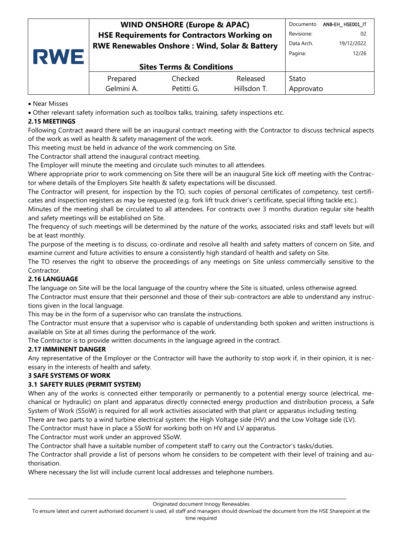| RWE | <b>WIND ONSHORE (Europe &amp; APAC)</b>                  |                                     |             | Documento | ANB-EH_HSE001_IT |
|-----|----------------------------------------------------------|-------------------------------------|-------------|-----------|------------------|
|     | <b>HSE Requirements for Contractors Working on</b>       |                                     |             |           | 02               |
|     | <b>RWE Renewables Onshore: Wind, Solar &amp; Battery</b> |                                     |             |           | 19/12/2022       |
|     |                                                          | Pagina:                             | 12/26       |           |                  |
|     |                                                          | <b>Sites Terms &amp; Conditions</b> |             |           |                  |
|     | Prepared                                                 | Checked                             | Released    | Stato     |                  |
|     | Gelmini A.                                               | Petitti G.                          | Hillsdon T. | Approvato |                  |

#### • Near Misses

• Other relevant safety information such as toolbox talks, training, safety inspections etc.

#### <span id="page-11-0"></span>**2.15 MEETINGS**

Following Contract award there will be an inaugural contract meeting with the Contractor to discuss technical aspects of the work as well as health & safety management of the work.

This meeting must be held in advance of the work commencing on Site.

The Contractor shall attend the inaugural contract meeting.

The Employer will minute the meeting and circulate such minutes to all attendees.

Where appropriate prior to work commencing on Site there will be an inaugural Site kick off meeting with the Contractor where details of the Employers Site health & safety expectations will be discussed.

The Contractor will present, for inspection by the TO, such copies of personal certificates of competency, test certificates and inspection registers as may be requested (e.g. fork lift truck driver's certificate, special lifting tackle etc.).

Minutes of the meeting shall be circulated to all attendees. For contracts over 3 months duration regular site health and safety meetings will be established on Site.

The frequency of such meetings will be determined by the nature of the works, associated risks and staff levels but will be at least monthly.

The purpose of the meeting is to discuss, co-ordinate and resolve all health and safety matters of concern on Site, and examine current and future activities to ensure a consistently high standard of health and safety on Site.

The TO reserves the right to observe the proceedings of any meetings on Site unless commercially sensitive to the Contractor.

### <span id="page-11-1"></span>**2.16 LANGUAGE**

The language on Site will be the local language of the country where the Site is situated, unless otherwise agreed.

The Contractor must ensure that their personnel and those of their sub-contractors are able to understand any instructions given in the local language.

This may be in the form of a supervisor who can translate the instructions.

The Contractor must ensure that a supervisor who is capable of understanding both spoken and written instructions is available on Site at all times during the performance of the work.

The Contractor is to provide written documents in the language agreed in the contract.

#### <span id="page-11-2"></span>**2.17 IMMINENT DANGER**

Any representative of the Employer or the Contractor will have the authority to stop work if, in their opinion, it is necessary in the interests of health and safety.

#### <span id="page-11-3"></span>**3 SAFE SYSTEMS OF WORK**

#### <span id="page-11-4"></span>**3.1 SAFETY RULES (PERMIT SYSTEM)**

When any of the works is connected either temporarily or permanently to a potential energy source (electrical, mechanical or hydraulic) on plant and apparatus directly connected energy production and distribution process, a Safe System of Work (SSoW) is required for all work activities associated with that plant or apparatus including testing.

There are two parts to a wind turbine electrical system: the High Voltage side (HV) and the Low Voltage side (LV).

The Contractor must have in place a SSoW for working both on HV and LV apparatus.

The Contractor must work under an approved SSoW.

The Contractor shall have a suitable number of competent staff to carry out the Contractor's tasks/duties.

The Contractor shall provide a list of persons whom he considers to be competent with their level of training and authorisation.

Where necessary the list will include current local addresses and telephone numbers.

Originated document Innogy Renewables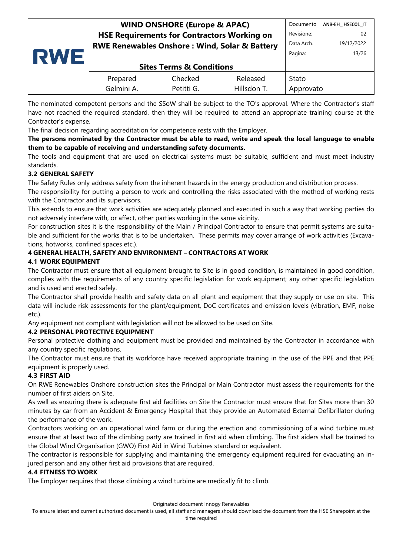| <b>RWE</b> | <b>WIND ONSHORE (Europe &amp; APAC)</b>                  |            |             | Documento  | ANB-EH HSE001 IT |
|------------|----------------------------------------------------------|------------|-------------|------------|------------------|
|            | <b>HSE Requirements for Contractors Working on</b>       |            |             |            | -02              |
|            | <b>RWE Renewables Onshore: Wind, Solar &amp; Battery</b> |            |             | Data Arch. | 19/12/2022       |
|            |                                                          | Pagina:    | 13/26       |            |                  |
|            | <b>Sites Terms &amp; Conditions</b>                      |            |             |            |                  |
|            | Prepared                                                 | Checked    | Released    | Stato      |                  |
|            | Gelmini A.                                               | Petitti G. | Hillsdon T. | Approvato  |                  |

The nominated competent persons and the SSoW shall be subject to the TO's approval. Where the Contractor's staff have not reached the required standard, then they will be required to attend an appropriate training course at the Contractor's expense.

The final decision regarding accreditation for competence rests with the Employer.

#### **The persons nominated by the Contractor must be able to read, write and speak the local language to enable them to be capable of receiving and understanding safety documents.**

The tools and equipment that are used on electrical systems must be suitable, sufficient and must meet industry standards.

### <span id="page-12-0"></span>**3.2 GENERAL SAFETY**

The Safety Rules only address safety from the inherent hazards in the energy production and distribution process.

The responsibility for putting a person to work and controlling the risks associated with the method of working rests with the Contractor and its supervisors.

This extends to ensure that work activities are adequately planned and executed in such a way that working parties do not adversely interfere with, or affect, other parties working in the same vicinity.

For construction sites it is the responsibility of the Main / Principal Contractor to ensure that permit systems are suitable and sufficient for the works that is to be undertaken. These permits may cover arrange of work activities (Excavations, hotworks, confined spaces etc.).

# <span id="page-12-1"></span>**4 GENERAL HEALTH, SAFETY AND ENVIRONMENT – CONTRACTORS AT WORK**

### <span id="page-12-2"></span>**4.1 WORK EQUIPMENT**

The Contractor must ensure that all equipment brought to Site is in good condition, is maintained in good condition, complies with the requirements of any country specific legislation for work equipment; any other specific legislation and is used and erected safely.

The Contractor shall provide health and safety data on all plant and equipment that they supply or use on site. This data will include risk assessments for the plant/equipment, DoC certificates and emission levels (vibration, EMF, noise etc.).

Any equipment not compliant with legislation will not be allowed to be used on Site.

### <span id="page-12-3"></span>**4.2 PERSONAL PROTECTIVE EQUIPMENT**

Personal protective clothing and equipment must be provided and maintained by the Contractor in accordance with any country specific regulations.

The Contractor must ensure that its workforce have received appropriate training in the use of the PPE and that PPE equipment is properly used.

### <span id="page-12-4"></span>**4.3 FIRST AID**

On RWE Renewables Onshore construction sites the Principal or Main Contractor must assess the requirements for the number of first aiders on Site.

As well as ensuring there is adequate first aid facilities on Site the Contractor must ensure that for Sites more than 30 minutes by car from an Accident & Emergency Hospital that they provide an Automated External Defibrillator during the performance of the work.

Contractors working on an operational wind farm or during the erection and commissioning of a wind turbine must ensure that at least two of the climbing party are trained in first aid when climbing. The first aiders shall be trained to the Global Wind Organisation (GWO) First Aid in Wind Turbines standard or equivalent.

The contractor is responsible for supplying and maintaining the emergency equipment required for evacuating an injured person and any other first aid provisions that are required.

### <span id="page-12-5"></span>**4.4 FITNESS TO WORK**

The Employer requires that those climbing a wind turbine are medically fit to climb.

Originated document Innogy Renewables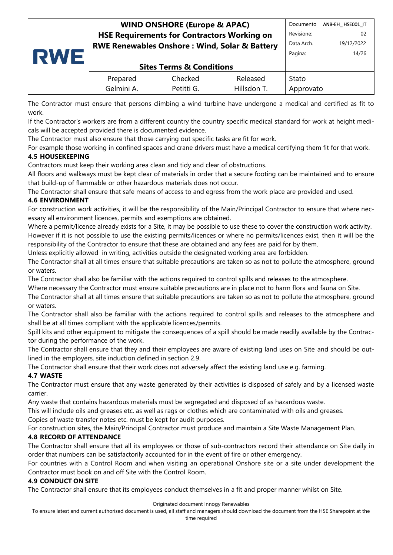|            |                                                          | <b>WIND ONSHORE (Europe &amp; APAC)</b> |             | Documento  | ANB-EH HSE001 IT |
|------------|----------------------------------------------------------|-----------------------------------------|-------------|------------|------------------|
| <b>RWE</b> | <b>HSE Requirements for Contractors Working on</b>       |                                         |             |            | 02               |
|            | <b>RWE Renewables Onshore: Wind, Solar &amp; Battery</b> |                                         |             | Data Arch. | 19/12/2022       |
|            |                                                          |                                         |             | Pagina:    | 14/26            |
|            | <b>Sites Terms &amp; Conditions</b>                      |                                         |             |            |                  |
|            | Prepared                                                 | Checked                                 | Released    | Stato      |                  |
|            | Gelmini A.                                               | Petitti G.                              | Hillsdon T. | Approvato  |                  |

The Contractor must ensure that persons climbing a wind turbine have undergone a medical and certified as fit to work.

If the Contractor's workers are from a different country the country specific medical standard for work at height medicals will be accepted provided there is documented evidence.

The Contractor must also ensure that those carrying out specific tasks are fit for work.

For example those working in confined spaces and crane drivers must have a medical certifying them fit for that work. **4.5 HOUSEKEEPING**

<span id="page-13-0"></span>Contractors must keep their working area clean and tidy and clear of obstructions.

All floors and walkways must be kept clear of materials in order that a secure footing can be maintained and to ensure that build-up of flammable or other hazardous materials does not occur.

The Contractor shall ensure that safe means of access to and egress from the work place are provided and used.

### <span id="page-13-1"></span>**4.6 ENVIRONMENT**

For construction work activities, it will be the responsibility of the Main/Principal Contractor to ensure that where necessary all environment licences, permits and exemptions are obtained.

Where a permit/licence already exists for a Site, it may be possible to use these to cover the construction work activity. However if it is not possible to use the existing permits/licences or where no permits/licences exist, then it will be the responsibility of the Contractor to ensure that these are obtained and any fees are paid for by them.

Unless explicitly allowed in writing, activities outside the designated working area are forbidden.

The Contractor shall at all times ensure that suitable precautions are taken so as not to pollute the atmosphere, ground or waters.

The Contractor shall also be familiar with the actions required to control spills and releases to the atmosphere.

Where necessary the Contractor must ensure suitable precautions are in place not to harm flora and fauna on Site.

The Contractor shall at all times ensure that suitable precautions are taken so as not to pollute the atmosphere, ground or waters.

The Contractor shall also be familiar with the actions required to control spills and releases to the atmosphere and shall be at all times compliant with the applicable licences/permits.

Spill kits and other equipment to mitigate the consequences of a spill should be made readily available by the Contractor during the performance of the work.

The Contractor shall ensure that they and their employees are aware of existing land uses on Site and should be outlined in the employers, site induction defined in section 2.9.

The Contractor shall ensure that their work does not adversely affect the existing land use e.g. farming.

### <span id="page-13-2"></span>**4.7 WASTE**

The Contractor must ensure that any waste generated by their activities is disposed of safely and by a licensed waste carrier.

Any waste that contains hazardous materials must be segregated and disposed of as hazardous waste.

This will include oils and greases etc. as well as rags or clothes which are contaminated with oils and greases.

Copies of waste transfer notes etc. must be kept for audit purposes.

For construction sites, the Main/Principal Contractor must produce and maintain a Site Waste Management Plan.

### <span id="page-13-3"></span>**4.8 RECORD OF ATTENDANCE**

The Contractor shall ensure that all its employees or those of sub-contractors record their attendance on Site daily in order that numbers can be satisfactorily accounted for in the event of fire or other emergency.

For countries with a Control Room and when visiting an operational Onshore site or a site under development the Contractor must book on and off Site with the Control Room.

#### <span id="page-13-4"></span>**4.9 CONDUCT ON SITE**

The Contractor shall ensure that its employees conduct themselves in a fit and proper manner whilst on Site.

Originated document Innogy Renewables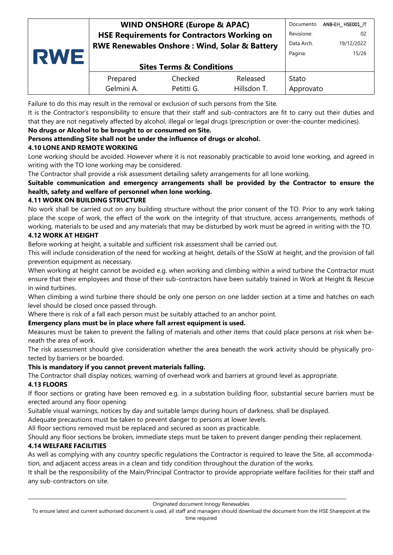|            | <b>WIND ONSHORE (Europe &amp; APAC)</b>                  |            |             |            | ANB-EH HSE001 IT |
|------------|----------------------------------------------------------|------------|-------------|------------|------------------|
|            | <b>HSE Requirements for Contractors Working on</b>       |            |             |            | 02               |
|            | <b>RWE Renewables Onshore: Wind, Solar &amp; Battery</b> |            |             | Data Arch. | 19/12/2022       |
| <b>RWE</b> |                                                          | Pagina:    | 15/26       |            |                  |
|            | <b>Sites Terms &amp; Conditions</b>                      |            |             |            |                  |
|            | Prepared                                                 | Checked    | Released    | Stato      |                  |
|            | Gelmini A.                                               | Petitti G. | Hillsdon T. | Approvato  |                  |
|            |                                                          |            |             |            |                  |

Failure to do this may result in the removal or exclusion of such persons from the Site.

It is the Contractor's responsibility to ensure that their staff and sub-contractors are fit to carry out their duties and that they are not negatively affected by alcohol, illegal or legal drugs (prescription or over-the-counter medicines).

#### **No drugs or Alcohol to be brought to or consumed on Site.**

### **Persons attending Site shall not be under the influence of drugs or alcohol.**

### <span id="page-14-0"></span>**4.10 LONE AND REMOTE WORKING**

Lone working should be avoided. However where it is not reasonably practicable to avoid lone working, and agreed in writing with the TO lone working may be considered.

The Contractor shall provide a risk assessment detailing safety arrangements for all lone working.

### **Suitable communication and emergency arrangements shall be provided by the Contractor to ensure the health, safety and welfare of personnel when lone working.**

### <span id="page-14-1"></span>**4.11 WORK ON BUILDING STRUCTURE**

No work shall be carried out on any building structure without the prior consent of the TO. Prior to any work taking place the scope of work, the effect of the work on the integrity of that structure, access arrangements, methods of working, materials to be used and any materials that may be disturbed by work must be agreed in writing with the TO.

#### <span id="page-14-2"></span>**4.12 WORK AT HEIGHT**

Before working at height, a suitable and sufficient risk assessment shall be carried out.

This will include consideration of the need for working at height, details of the SSoW at height, and the provision of fall prevention equipment as necessary.

When working at height cannot be avoided e.g. when working and climbing within a wind turbine the Contractor must ensure that their employees and those of their sub-contractors have been suitably trained in Work at Height & Rescue in wind turbines.

When climbing a wind turbine there should be only one person on one ladder section at a time and hatches on each level should be closed once passed through.

Where there is risk of a fall each person must be suitably attached to an anchor point.

#### **Emergency plans must be in place where fall arrest equipment is used.**

Measures must be taken to prevent the falling of materials and other items that could place persons at risk when beneath the area of work.

The risk assessment should give consideration whether the area beneath the work activity should be physically protected by barriers or be boarded.

#### **This is mandatory if you cannot prevent materials falling.**

The Contractor shall display notices, warning of overhead work and barriers at ground level as appropriate.

#### <span id="page-14-3"></span>**4.13 FLOORS**

If floor sections or grating have been removed e.g. in a substation building floor, substantial secure barriers must be erected around any floor opening.

Suitable visual warnings, notices by day and suitable lamps during hours of darkness, shall be displayed.

Adequate precautions must be taken to prevent danger to persons at lower levels.

All floor sections removed must be replaced and secured as soon as practicable.

Should any floor sections be broken, immediate steps must be taken to prevent danger pending their replacement.

#### <span id="page-14-4"></span>**4.14 WELFARE FACILITIES**

As well as complying with any country specific regulations the Contractor is required to leave the Site, all accommodation, and adjacent access areas in a clean and tidy condition throughout the duration of the works.

It shall be the responsibility of the Main/Principal Contractor to provide appropriate welfare facilities for their staff and any sub-contractors on site.

To ensure latest and current authorised document is used, all staff and managers should download the document from the HSE Sharepoint at the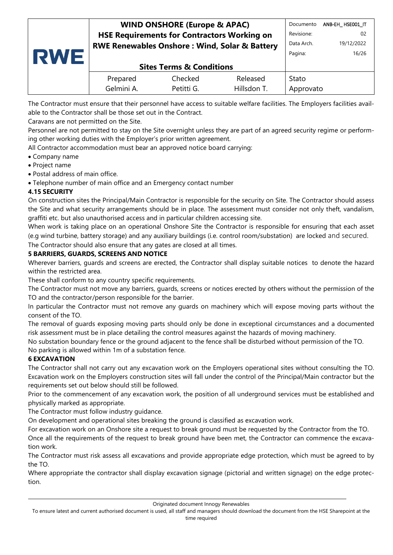| <b>RWE</b> | <b>WIND ONSHORE (Europe &amp; APAC)</b>                  |            |             |           | ANB-EH HSE001 IT |
|------------|----------------------------------------------------------|------------|-------------|-----------|------------------|
|            | <b>HSE Requirements for Contractors Working on</b>       |            |             |           | 02               |
|            | <b>RWE Renewables Onshore: Wind, Solar &amp; Battery</b> |            |             |           | 19/12/2022       |
|            |                                                          | Pagina:    | 16/26       |           |                  |
|            | <b>Sites Terms &amp; Conditions</b>                      |            |             |           |                  |
|            | Prepared                                                 | Checked    | Released    | Stato     |                  |
|            | Gelmini A.                                               | Petitti G. | Hillsdon T. | Approvato |                  |
|            |                                                          |            |             |           |                  |

The Contractor must ensure that their personnel have access to suitable welfare facilities. The Employers facilities available to the Contractor shall be those set out in the Contract.

Caravans are not permitted on the Site.

Personnel are not permitted to stay on the Site overnight unless they are part of an agreed security regime or performing other working duties with the Employer's prior written agreement.

All Contractor accommodation must bear an approved notice board carrying:

- Company name
- Project name
- Postal address of main office.
- Telephone number of main office and an Emergency contact number

### <span id="page-15-0"></span>**4.15 SECURITY**

On construction sites the Principal/Main Contractor is responsible for the security on Site. The Contractor should assess the Site and what security arrangements should be in place. The assessment must consider not only theft, vandalism, graffiti etc. but also unauthorised access and in particular children accessing site.

When work is taking place on an operational Onshore Site the Contractor is responsible for ensuring that each asset (e.g wind turbine, battery storage) and any auxiliary buildings (i.e. control room/substation) are locked and secured.

The Contractor should also ensure that any gates are closed at all times.

#### <span id="page-15-1"></span>**5 BARRIERS, GUARDS, SCREENS AND NOTICE**

Wherever barriers, guards and screens are erected, the Contractor shall display suitable notices to denote the hazard within the restricted area.

These shall conform to any country specific requirements.

The Contractor must not move any barriers, guards, screens or notices erected by others without the permission of the TO and the contractor/person responsible for the barrier.

In particular the Contractor must not remove any guards on machinery which will expose moving parts without the consent of the TO.

The removal of guards exposing moving parts should only be done in exceptional circumstances and a documented risk assessment must be in place detailing the control measures against the hazards of moving machinery.

No substation boundary fence or the ground adjacent to the fence shall be disturbed without permission of the TO.

No parking is allowed within 1m of a substation fence.

### <span id="page-15-2"></span>**6 EXCAVATION**

The Contractor shall not carry out any excavation work on the Employers operational sites without consulting the TO. Excavation work on the Employers construction sites will fall under the control of the Principal/Main contractor but the requirements set out below should still be followed.

Prior to the commencement of any excavation work, the position of all underground services must be established and physically marked as appropriate.

The Contractor must follow industry guidance.

On development and operational sites breaking the ground is classified as excavation work.

For excavation work on an Onshore site a request to break ground must be requested by the Contractor from the TO.

Once all the requirements of the request to break ground have been met, the Contractor can commence the excavation work.

The Contractor must risk assess all excavations and provide appropriate edge protection, which must be agreed to by the TO.

Where appropriate the contractor shall display excavation signage (pictorial and written signage) on the edge protection.

To ensure latest and current authorised document is used, all staff and managers should download the document from the HSE Sharepoint at the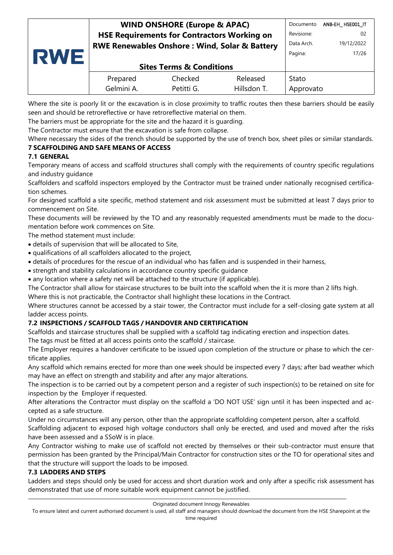#### **WIND ONSHORE (Europe & APAC) HSE Requirements for Contractors Working on RWE Renewables Onshore : Wind, Solar & Battery** Documento ANB-EH\_ HSE001\_IT Revisione: 02 Data Arch. 19/12/2022

| RWI | <b>Sites Terms &amp; Conditions</b> |                       |                         |                    | 17/26 |
|-----|-------------------------------------|-----------------------|-------------------------|--------------------|-------|
|     | Prepared<br>Gelmini A.              | Checked<br>Petitti G. | Released<br>Hillsdon T. | Stato<br>Approvato |       |

Where the site is poorly lit or the excavation is in close proximity to traffic routes then these barriers should be easily seen and should be retroreflective or have retroreflective material on them.

The barriers must be appropriate for the site and the hazard it is guarding.

The Contractor must ensure that the excavation is safe from collapse.

Where necessary the sides of the trench should be supported by the use of trench box, sheet piles or similar standards. **7 SCAFFOLDING AND SAFE MEANS OF ACCESS**

# <span id="page-16-1"></span><span id="page-16-0"></span>**7.1 GENERAL**

Temporary means of access and scaffold structures shall comply with the requirements of country specific regulations and industry guidance

Scaffolders and scaffold inspectors employed by the Contractor must be trained under nationally recognised certification schemes.

For designed scaffold a site specific, method statement and risk assessment must be submitted at least 7 days prior to commencement on Site.

These documents will be reviewed by the TO and any reasonably requested amendments must be made to the documentation before work commences on Site.

The method statement must include:

- details of supervision that will be allocated to Site,
- qualifications of all scaffolders allocated to the project,
- details of procedures for the rescue of an individual who has fallen and is suspended in their harness,
- strength and stability calculations in accordance country specific guidance
- any location where a safety net will be attached to the structure (if applicable).

The Contractor shall allow for staircase structures to be built into the scaffold when the it is more than 2 lifts high.

Where this is not practicable, the Contractor shall highlight these locations in the Contract.

Where structures cannot be accessed by a stair tower, the Contractor must include for a self-closing gate system at all ladder access points.

### <span id="page-16-2"></span>**7.2 INSPECTIONS / SCAFFOLD TAGS / HANDOVER AND CERTIFICATION**

Scaffolds and staircase structures shall be supplied with a scaffold tag indicating erection and inspection dates.

The tags must be fitted at all access points onto the scaffold / staircase.

The Employer requires a handover certificate to be issued upon completion of the structure or phase to which the certificate applies.

Any scaffold which remains erected for more than one week should be inspected every 7 days; after bad weather which may have an effect on strength and stability and after any major alterations.

The inspection is to be carried out by a competent person and a register of such inspection(s) to be retained on site for inspection by the Employer if requested.

After alterations the Contractor must display on the scaffold a 'DO NOT USE' sign until it has been inspected and accepted as a safe structure.

Under no circumstances will any person, other than the appropriate scaffolding competent person, alter a scaffold.

Scaffolding adjacent to exposed high voltage conductors shall only be erected, and used and moved after the risks have been assessed and a SSoW is in place.

Any Contractor wishing to make use of scaffold not erected by themselves or their sub-contractor must ensure that permission has been granted by the Principal/Main Contractor for construction sites or the TO for operational sites and that the structure will support the loads to be imposed.

### <span id="page-16-3"></span>**7.3 LADDERS AND STEPS**

Ladders and steps should only be used for access and short duration work and only after a specific risk assessment has demonstrated that use of more suitable work equipment cannot be justified.

To ensure latest and current authorised document is used, all staff and managers should download the document from the HSE Sharepoint at the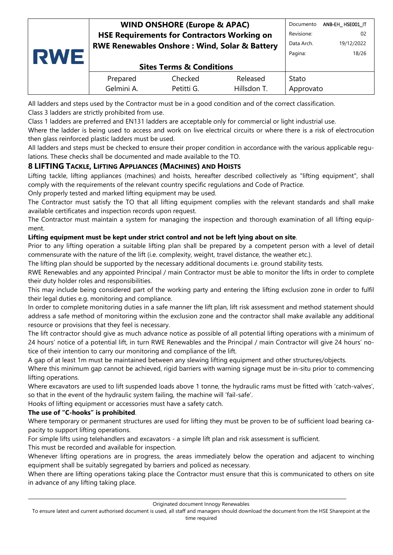| RWE | <b>WIND ONSHORE (Europe &amp; APAC)</b>                  |                                     |             | Documento  | ANB-EH_HSE001_IT |
|-----|----------------------------------------------------------|-------------------------------------|-------------|------------|------------------|
|     | <b>HSE Requirements for Contractors Working on</b>       |                                     |             |            | -02              |
|     | <b>RWE Renewables Onshore: Wind, Solar &amp; Battery</b> |                                     |             | Data Arch. | 19/12/2022       |
|     |                                                          | Pagina:                             | 18/26       |            |                  |
|     |                                                          | <b>Sites Terms &amp; Conditions</b> |             |            |                  |
|     | Prepared                                                 | Checked                             | Released    | Stato      |                  |
|     | Gelmini A.                                               | Petitti G.                          | Hillsdon T. | Approvato  |                  |

All ladders and steps used by the Contractor must be in a good condition and of the correct classification. Class 3 ladders are strictly prohibited from use.

Class 1 ladders are preferred and EN131 ladders are acceptable only for commercial or light industrial use.

Where the ladder is being used to access and work on live electrical circuits or where there is a risk of electrocution then glass reinforced plastic ladders must be used.

All ladders and steps must be checked to ensure their proper condition in accordance with the various applicable regulations. These checks shall be documented and made available to the TO.

# <span id="page-17-0"></span>**8 LIFTING TACKLE, LIFTING APPLIANCES (MACHINES) AND HOISTS**

Lifting tackle, lifting appliances (machines) and hoists, hereafter described collectively as "lifting equipment", shall comply with the requirements of the relevant country specific regulations and Code of Practice.

Only properly tested and marked lifting equipment may be used.

The Contractor must satisfy the TO that all lifting equipment complies with the relevant standards and shall make available certificates and inspection records upon request.

The Contractor must maintain a system for managing the inspection and thorough examination of all lifting equipment.

### **Lifting equipment must be kept under strict control and not be left lying about on site**.

Prior to any lifting operation a suitable lifting plan shall be prepared by a competent person with a level of detail commensurate with the nature of the lift (i.e. complexity, weight, travel distance, the weather etc.).

The lifting plan should be supported by the necessary additional documents i.e. ground stability tests.

RWE Renewables and any appointed Principal / main Contractor must be able to monitor the lifts in order to complete their duty holder roles and responsibilities.

This may include being considered part of the working party and entering the lifting exclusion zone in order to fulfil their legal duties e.g. monitoring and compliance.

In order to complete monitoring duties in a safe manner the lift plan, lift risk assessment and method statement should address a safe method of monitoring within the exclusion zone and the contractor shall make available any additional resource or provisions that they feel is necessary.

The lift contractor should give as much advance notice as possible of all potential lifting operations with a minimum of 24 hours' notice of a potential lift, in turn RWE Renewables and the Principal / main Contractor will give 24 hours' notice of their intention to carry our monitoring and compliance of the lift.

A gap of at least 1m must be maintained between any slewing lifting equipment and other structures/objects.

Where this minimum gap cannot be achieved, rigid barriers with warning signage must be in-situ prior to commencing lifting operations.

Where excavators are used to lift suspended loads above 1 tonne, the hydraulic rams must be fitted with 'catch-valves', so that in the event of the hydraulic system failing, the machine will 'fail-safe'.

Hooks of lifting equipment or accessories must have a safety catch.

#### **The use of "C-hooks" is prohibited**.

Where temporary or permanent structures are used for lifting they must be proven to be of sufficient load bearing capacity to support lifting operations.

For simple lifts using telehandlers and excavators - a simple lift plan and risk assessment is sufficient.

This must be recorded and available for inspection.

Whenever lifting operations are in progress, the areas immediately below the operation and adjacent to winching equipment shall be suitably segregated by barriers and policed as necessary.

When there are lifting operations taking place the Contractor must ensure that this is communicated to others on site in advance of any lifting taking place.

To ensure latest and current authorised document is used, all staff and managers should download the document from the HSE Sharepoint at the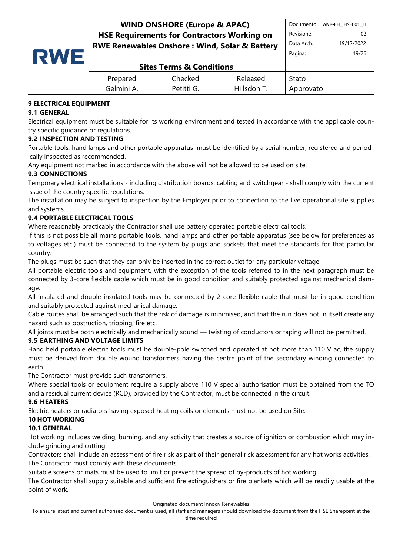| <b>RWE</b> | <b>WIND ONSHORE (Europe &amp; APAC)</b>                  |            |             | Documento  | ANB-EH HSEO01 IT |
|------------|----------------------------------------------------------|------------|-------------|------------|------------------|
|            | <b>HSE Requirements for Contractors Working on</b>       |            |             | Revisione: | 02               |
|            | <b>RWE Renewables Onshore: Wind, Solar &amp; Battery</b> |            |             | Data Arch. | 19/12/2022       |
|            |                                                          |            |             | Pagina:    | 19/26            |
|            | <b>Sites Terms &amp; Conditions</b>                      |            |             |            |                  |
|            | Prepared                                                 | Checked    | Released    | Stato      |                  |
|            | Gelmini A.                                               | Petitti G. | Hillsdon T. | Approvato  |                  |

# <span id="page-18-0"></span>**9 ELECTRICAL EQUIPMENT**

### <span id="page-18-1"></span>**9.1 GENERAL**

Electrical equipment must be suitable for its working environment and tested in accordance with the applicable country specific guidance or regulations.

# <span id="page-18-2"></span>**9.2 INSPECTION AND TESTING**

Portable tools, hand lamps and other portable apparatus must be identified by a serial number, registered and periodically inspected as recommended.

Any equipment not marked in accordance with the above will not be allowed to be used on site.

# <span id="page-18-3"></span>**9.3 CONNECTIONS**

Temporary electrical installations - including distribution boards, cabling and switchgear - shall comply with the current issue of the country specific regulations.

The installation may be subject to inspection by the Employer prior to connection to the live operational site supplies and systems.

### <span id="page-18-4"></span>**9.4 PORTABLE ELECTRICAL TOOLS**

Where reasonably practicably the Contractor shall use battery operated portable electrical tools.

If this is not possible all mains portable tools, hand lamps and other portable apparatus (see below for preferences as to voltages etc.) must be connected to the system by plugs and sockets that meet the standards for that particular country.

The plugs must be such that they can only be inserted in the correct outlet for any particular voltage.

All portable electric tools and equipment, with the exception of the tools referred to in the next paragraph must be connected by 3-core flexible cable which must be in good condition and suitably protected against mechanical damage.

All-insulated and double-insulated tools may be connected by 2-core flexible cable that must be in good condition and suitably protected against mechanical damage.

Cable routes shall be arranged such that the risk of damage is minimised, and that the run does not in itself create any hazard such as obstruction, tripping, fire etc.

All joints must be both electrically and mechanically sound — twisting of conductors or taping will not be permitted.

### <span id="page-18-5"></span>**9.5 EARTHING AND VOLTAGE LIMITS**

Hand held portable electric tools must be double-pole switched and operated at not more than 110 V ac, the supply must be derived from double wound transformers having the centre point of the secondary winding connected to earth.

The Contractor must provide such transformers.

Where special tools or equipment require a supply above 110 V special authorisation must be obtained from the TO and a residual current device (RCD), provided by the Contractor, must be connected in the circuit.

### <span id="page-18-6"></span>**9.6 HEATERS**

Electric heaters or radiators having exposed heating coils or elements must not be used on Site.

# <span id="page-18-7"></span>**10 HOT WORKING**

### <span id="page-18-8"></span>**10.1 GENERAL**

Hot working includes welding, burning, and any activity that creates a source of ignition or combustion which may include grinding and cutting.

Contractors shall include an assessment of fire risk as part of their general risk assessment for any hot works activities. The Contractor must comply with these documents.

Suitable screens or mats must be used to limit or prevent the spread of by-products of hot working.

The Contractor shall supply suitable and sufficient fire extinguishers or fire blankets which will be readily usable at the point of work.

To ensure latest and current authorised document is used, all staff and managers should download the document from the HSE Sharepoint at the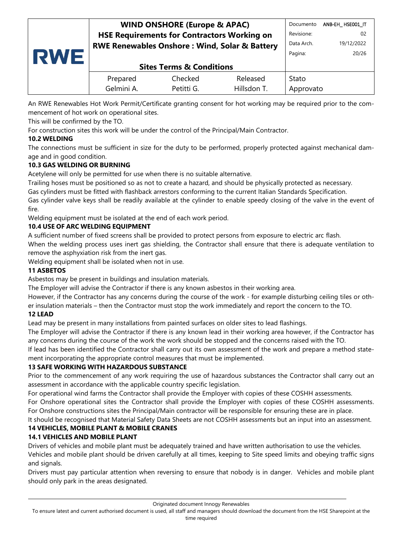|     | <b>WIND ONSHORE (Europe &amp; APAC)</b>                  |            |             | Documento  | ANB-EH HSE001 IT |
|-----|----------------------------------------------------------|------------|-------------|------------|------------------|
| RWE | <b>HSE Requirements for Contractors Working on</b>       |            |             | Revisione: | 02               |
|     | <b>RWE Renewables Onshore: Wind, Solar &amp; Battery</b> |            |             | Data Arch. | 19/12/2022       |
|     |                                                          | Pagina:    | 20/26       |            |                  |
|     | <b>Sites Terms &amp; Conditions</b>                      |            |             |            |                  |
|     | Prepared                                                 | Checked    | Released    | Stato      |                  |
|     | Gelmini A.                                               | Petitti G. | Hillsdon T. | Approvato  |                  |

An RWE Renewables Hot Work Permit/Certificate granting consent for hot working may be required prior to the commencement of hot work on operational sites.

This will be confirmed by the TO.

For construction sites this work will be under the control of the Principal/Main Contractor.

# <span id="page-19-0"></span>**10.2 WELDING**

The connections must be sufficient in size for the duty to be performed, properly protected against mechanical damage and in good condition.

# <span id="page-19-1"></span>**10.3 GAS WELDING OR BURNING**

Acetylene will only be permitted for use when there is no suitable alternative.

Trailing hoses must be positioned so as not to create a hazard, and should be physically protected as necessary.

Gas cylinders must be fitted with flashback arrestors conforming to the current Italian Standards Specification.

Gas cylinder valve keys shall be readily available at the cylinder to enable speedy closing of the valve in the event of fire.

Welding equipment must be isolated at the end of each work period.

### <span id="page-19-2"></span>**10.4 USE OF ARC WELDING EQUIPMENT**

A sufficient number of fixed screens shall be provided to protect persons from exposure to electric arc flash.

When the welding process uses inert gas shielding, the Contractor shall ensure that there is adequate ventilation to remove the asphyxiation risk from the inert gas.

Welding equipment shall be isolated when not in use.

### <span id="page-19-3"></span>**11 ASBETOS**

Asbestos may be present in buildings and insulation materials.

The Employer will advise the Contractor if there is any known asbestos in their working area.

However, if the Contractor has any concerns during the course of the work - for example disturbing ceiling tiles or other insulation materials – then the Contractor must stop the work immediately and report the concern to the TO.

### <span id="page-19-4"></span>**12 LEAD**

Lead may be present in many installations from painted surfaces on older sites to lead flashings.

The Employer will advise the Contractor if there is any known lead in their working area however, if the Contractor has any concerns during the course of the work the work should be stopped and the concerns raised with the TO.

If lead has been identified the Contractor shall carry out its own assessment of the work and prepare a method statement incorporating the appropriate control measures that must be implemented.

### <span id="page-19-5"></span>**13 SAFE WORKING WITH HAZARDOUS SUBSTANCE**

Prior to the commencement of any work requiring the use of hazardous substances the Contractor shall carry out an assessment in accordance with the applicable country specific legislation.

For operational wind farms the Contractor shall provide the Employer with copies of these COSHH assessments.

For Onshore operational sites the Contractor shall provide the Employer with copies of these COSHH assessments. For Onshore constructions sites the Principal/Main contractor will be responsible for ensuring these are in place.

<span id="page-19-6"></span>It should be recognised that Material Safety Data Sheets are not COSHH assessments but an input into an assessment. **14 VEHICLES, MOBILE PLANT & MOBILE CRANES**

### <span id="page-19-7"></span>**14.1 VEHICLES AND MOBILE PLANT**

Drivers of vehicles and mobile plant must be adequately trained and have written authorisation to use the vehicles. Vehicles and mobile plant should be driven carefully at all times, keeping to Site speed limits and obeying traffic signs and signals.

Drivers must pay particular attention when reversing to ensure that nobody is in danger. Vehicles and mobile plant should only park in the areas designated.

Originated document Innogy Renewables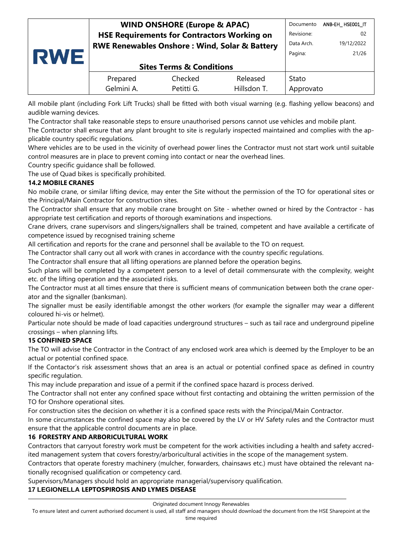| RWE | <b>WIND ONSHORE (Europe &amp; APAC)</b>                  |            |             | Documento  | ANB-EH HSE001 IT |
|-----|----------------------------------------------------------|------------|-------------|------------|------------------|
|     | <b>HSE Requirements for Contractors Working on</b>       |            |             | Revisione: | 02               |
|     | <b>RWE Renewables Onshore: Wind, Solar &amp; Battery</b> |            |             | Data Arch. | 19/12/2022       |
|     |                                                          | Pagina:    | 21/26       |            |                  |
|     | <b>Sites Terms &amp; Conditions</b>                      |            |             |            |                  |
|     | Prepared                                                 | Checked    | Released    | Stato      |                  |
|     | Gelmini A.                                               | Petitti G. | Hillsdon T. | Approvato  |                  |

All mobile plant (including Fork Lift Trucks) shall be fitted with both visual warning (e.g. flashing yellow beacons) and audible warning devices.

The Contractor shall take reasonable steps to ensure unauthorised persons cannot use vehicles and mobile plant.

The Contractor shall ensure that any plant brought to site is regularly inspected maintained and complies with the applicable country specific regulations.

Where vehicles are to be used in the vicinity of overhead power lines the Contractor must not start work until suitable control measures are in place to prevent coming into contact or near the overhead lines.

Country specific guidance shall be followed.

The use of Quad bikes is specifically prohibited.

#### <span id="page-20-0"></span>**14.2 MOBILE CRANES**

No mobile crane, or similar lifting device, may enter the Site without the permission of the TO for operational sites or the Principal/Main Contractor for construction sites.

The Contractor shall ensure that any mobile crane brought on Site - whether owned or hired by the Contractor - has appropriate test certification and reports of thorough examinations and inspections.

Crane drivers, crane supervisors and slingers/signallers shall be trained, competent and have available a certificate of competence issued by recognised training scheme

All certification and reports for the crane and personnel shall be available to the TO on request.

The Contractor shall carry out all work with cranes in accordance with the country specific regulations.

The Contractor shall ensure that all lifting operations are planned before the operation begins.

Such plans will be completed by a competent person to a level of detail commensurate with the complexity, weight etc. of the lifting operation and the associated risks.

The Contractor must at all times ensure that there is sufficient means of communication between both the crane operator and the signaller (banksman).

The signaller must be easily identifiable amongst the other workers (for example the signaller may wear a different coloured hi-vis or helmet).

Particular note should be made of load capacities underground structures – such as tail race and underground pipeline crossings – when planning lifts.

### <span id="page-20-1"></span>**15 CONFINED SPACE**

The TO will advise the Contractor in the Contract of any enclosed work area which is deemed by the Employer to be an actual or potential confined space.

If the Contactor's risk assessment shows that an area is an actual or potential confined space as defined in country specific regulation.

This may include preparation and issue of a permit if the confined space hazard is process derived.

The Contractor shall not enter any confined space without first contacting and obtaining the written permission of the TO for Onshore operational sites.

For construction sites the decision on whether it is a confined space rests with the Principal/Main Contractor.

In some circumstances the confined space may also be covered by the LV or HV Safety rules and the Contractor must ensure that the applicable control documents are in place.

#### <span id="page-20-2"></span>**16 FORESTRY AND ARBORICULTURAL WORK**

Contractors that carryout forestry work must be competent for the work activities including a health and safety accredited management system that covers forestry/arboricultural activities in the scope of the management system.

Contractors that operate forestry machinery (mulcher, forwarders, chainsaws etc.) must have obtained the relevant nationally recognised qualification or competency card.

Supervisors/Managers should hold an appropriate managerial/supervisory qualification.

### <span id="page-20-3"></span>**17 LEGIONELLA LEPTOSPIROSIS AND LYMES DISEASE**

#### Originated document Innogy Renewables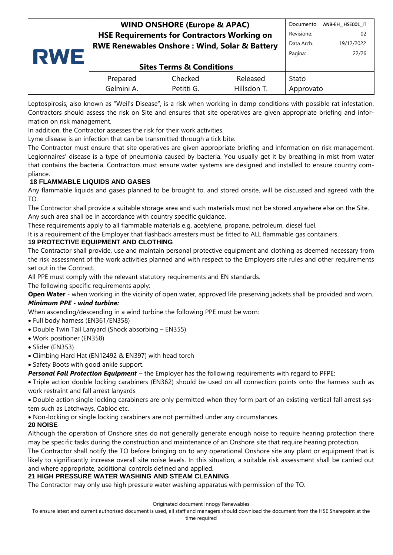| <b>RWE</b> | <b>WIND ONSHORE (Europe &amp; APAC)</b>                  |                                     |             | Documento  | ANB-EH_HSE001_IT |
|------------|----------------------------------------------------------|-------------------------------------|-------------|------------|------------------|
|            | <b>HSE Requirements for Contractors Working on</b>       |                                     |             | Revisione: | 02               |
|            | <b>RWE Renewables Onshore: Wind, Solar &amp; Battery</b> |                                     |             | Data Arch. | 19/12/2022       |
|            |                                                          |                                     |             | Pagina:    | 22/26            |
|            |                                                          | <b>Sites Terms &amp; Conditions</b> |             |            |                  |
|            | Prepared                                                 | Checked                             | Released    | Stato      |                  |
|            | Gelmini A.                                               | Petitti G.                          | Hillsdon T. | Approvato  |                  |

Leptospirosis, also known as "Weil's Disease", is a risk when working in damp conditions with possible rat infestation. Contractors should assess the risk on Site and ensures that site operatives are given appropriate briefing and information on risk management.

In addition, the Contractor assesses the risk for their work activities.

Lyme disease is an infection that can be transmitted through a tick bite.

The Contractor must ensure that site operatives are given appropriate briefing and information on risk management. Legionnaires' disease is a type of pneumonia caused by bacteria. You usually get it by breathing in mist from water that contains the bacteria. Contractors must ensure water systems are designed and installed to ensure country compliance.

### <span id="page-21-0"></span>**18 FLAMMABLE LIQUIDS AND GASES**

Any flammable liquids and gases planned to be brought to, and stored onsite, will be discussed and agreed with the TO.

The Contractor shall provide a suitable storage area and such materials must not be stored anywhere else on the Site. Any such area shall be in accordance with country specific guidance.

These requirements apply to all flammable materials e.g. acetylene, propane, petroleum, diesel fuel.

It is a requirement of the Employer that flashback arresters must be fitted to ALL flammable gas containers.

### <span id="page-21-1"></span>**19 PROTECTIVE EQUIPMENT AND CLOTHING**

The Contractor shall provide, use and maintain personal protective equipment and clothing as deemed necessary from the risk assessment of the work activities planned and with respect to the Employers site rules and other requirements set out in the Contract.

All PPE must comply with the relevant statutory requirements and EN standards.

The following specific requirements apply:

**Open Water** - when working in the vicinity of open water, approved life preserving jackets shall be provided and worn.

### *Minimum PPE - wind turbine:*

When ascending/descending in a wind turbine the following PPE must be worn:

- Full body harness (EN361/EN358)
- Double Twin Tail Lanyard (Shock absorbing EN355)
- Work positioner (EN358)
- Slider (EN353)
- Climbing Hard Hat (EN12492 & EN397) with head torch
- Safety Boots with good ankle support.

*Personal Fall Protection Equipment* – the Employer has the following requirements with regard to PFPE:

• Triple action double locking carabiners (EN362) should be used on all connection points onto the harness such as work restraint and fall arrest lanyards

• Double action single locking carabiners are only permitted when they form part of an existing vertical fall arrest system such as Latchways, Cabloc etc.

• Non-locking or single locking carabiners are not permitted under any circumstances.

### <span id="page-21-2"></span>**20 NOISE**

Although the operation of Onshore sites do not generally generate enough noise to require hearing protection there may be specific tasks during the construction and maintenance of an Onshore site that require hearing protection.

The Contractor shall notify the TO before bringing on to any operational Onshore site any plant or equipment that is likely to significantly increase overall site noise levels. In this situation, a suitable risk assessment shall be carried out and where appropriate, additional controls defined and applied.

### <span id="page-21-3"></span>**21 HIGH PRESSURE WATER WASHING AND STEAM CLEANING**

The Contractor may only use high pressure water washing apparatus with permission of the TO.

To ensure latest and current authorised document is used, all staff and managers should download the document from the HSE Sharepoint at the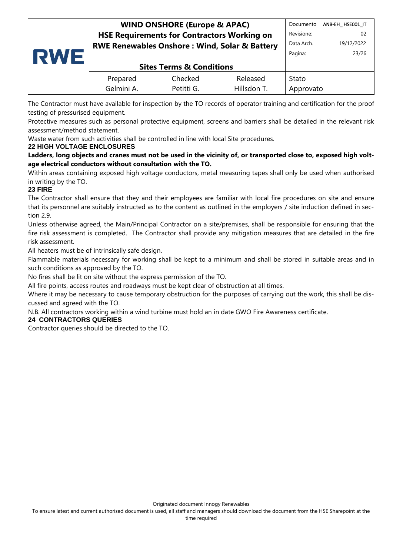| <b>RWE</b> | <b>WIND ONSHORE (Europe &amp; APAC)</b>                  |            |             | Documento  | ANB-EH HSE001 IT |
|------------|----------------------------------------------------------|------------|-------------|------------|------------------|
|            | <b>HSE Requirements for Contractors Working on</b>       |            |             | Revisione: | 02               |
|            | <b>RWE Renewables Onshore: Wind, Solar &amp; Battery</b> |            |             | Data Arch. | 19/12/2022       |
|            |                                                          | Pagina:    | 23/26       |            |                  |
|            | <b>Sites Terms &amp; Conditions</b>                      |            |             |            |                  |
|            | Prepared                                                 | Checked    | Released    | Stato      |                  |
|            | Gelmini A.                                               | Petitti G. | Hillsdon T. | Approvato  |                  |

The Contractor must have available for inspection by the TO records of operator training and certification for the proof testing of pressurised equipment.

Protective measures such as personal protective equipment, screens and barriers shall be detailed in the relevant risk assessment/method statement.

Waste water from such activities shall be controlled in line with local Site procedures.

### <span id="page-22-0"></span>**22 HIGH VOLTAGE ENCLOSURES**

**Ladders, long objects and cranes must not be used in the vicinity of, or transported close to, exposed high voltage electrical conductors without consultation with the TO.**

Within areas containing exposed high voltage conductors, metal measuring tapes shall only be used when authorised in writing by the TO.

### <span id="page-22-1"></span>**23 FIRE**

The Contractor shall ensure that they and their employees are familiar with local fire procedures on site and ensure that its personnel are suitably instructed as to the content as outlined in the employers / site induction defined in section 2.9.

Unless otherwise agreed, the Main/Principal Contractor on a site/premises, shall be responsible for ensuring that the fire risk assessment is completed. The Contractor shall provide any mitigation measures that are detailed in the fire risk assessment.

All heaters must be of intrinsically safe design.

Flammable materials necessary for working shall be kept to a minimum and shall be stored in suitable areas and in such conditions as approved by the TO.

No fires shall be lit on site without the express permission of the TO.

All fire points, access routes and roadways must be kept clear of obstruction at all times.

Where it may be necessary to cause temporary obstruction for the purposes of carrying out the work, this shall be discussed and agreed with the TO.

N.B. All contractors working within a wind turbine must hold an in date GWO Fire Awareness certificate.

### <span id="page-22-2"></span>**24 CONTRACTORS QUERIES**

Contractor queries should be directed to the TO.

Originated document Innogy Renewables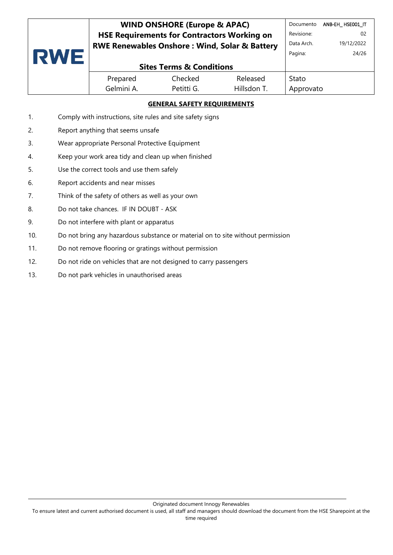| <b>RWE</b> | <b>WIND ONSHORE (Europe &amp; APAC)</b>                  |            |             | Documento  | ANB-EH HSE001 IT |
|------------|----------------------------------------------------------|------------|-------------|------------|------------------|
|            | <b>HSE Requirements for Contractors Working on</b>       |            |             | Revisione: | 02               |
|            | <b>RWE Renewables Onshore: Wind, Solar &amp; Battery</b> |            |             | Data Arch. | 19/12/2022       |
|            |                                                          |            |             | Pagina:    | 24/26            |
|            | <b>Sites Terms &amp; Conditions</b>                      |            |             |            |                  |
|            | Prepared                                                 | Checked    | Released    | Stato      |                  |
|            | Gelmini A.                                               | Petitti G. | Hillsdon T. | Approvato  |                  |

### **GENERAL SAFETY REQUIREMENTS**

- 1. Comply with instructions, site rules and site safety signs
- 2. Report anything that seems unsafe
- 3. Wear appropriate Personal Protective Equipment
- 4. Keep your work area tidy and clean up when finished
- 5. Use the correct tools and use them safely
- 6. Report accidents and near misses
- 7. Think of the safety of others as well as your own
- 8. Do not take chances. IF IN DOUBT ASK
- 9. Do not interfere with plant or apparatus
- 10. Do not bring any hazardous substance or material on to site without permission
- 11. Do not remove flooring or gratings without permission
- 12. Do not ride on vehicles that are not designed to carry passengers
- 13. Do not park vehicles in unauthorised areas

To ensure latest and current authorised document is used, all staff and managers should download the document from the HSE Sharepoint at the time required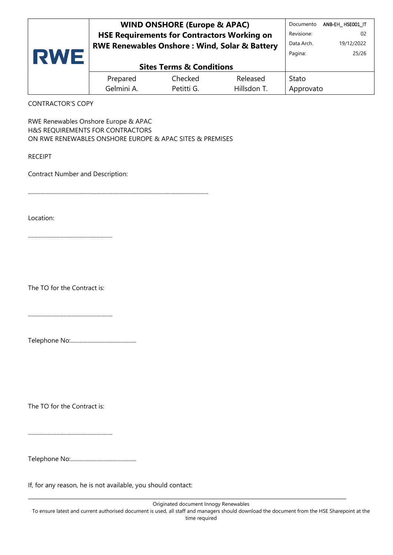| <b>RWE</b>               | <b>WIND ONSHORE (Europe &amp; APAC)</b><br><b>HSE Requirements for Contractors Working on</b><br>RWE Renewables Onshore: Wind, Solar & Battery |            |             | Documento<br>Revisione:<br>Data Arch.<br>Pagina: | ANB-EH HSEO01 IT<br>02<br>19/12/2022<br>25/26 |
|--------------------------|------------------------------------------------------------------------------------------------------------------------------------------------|------------|-------------|--------------------------------------------------|-----------------------------------------------|
|                          | <b>Sites Terms &amp; Conditions</b>                                                                                                            |            |             |                                                  |                                               |
|                          | Prepared                                                                                                                                       | Checked    | Released    | Stato                                            |                                               |
|                          | Gelmini A.                                                                                                                                     | Petitti G. | Hillsdon T. | Approvato                                        |                                               |
| <b>CONTRACTOR'S COPY</b> |                                                                                                                                                |            |             |                                                  |                                               |

RWE Renewables Onshore Europe & APAC H&S REQUIREMENTS FOR CONTRACTORS ON RWE RENEWABLES ONSHORE EUROPE & APAC SITES & PREMISES

RECEIPT

Contract Number and Description:

..............................................................................................................................

Location:

...........................................................

The TO for the Contract is:

...........................................................

|--|

The TO for the Contract is:

...........................................................

If, for any reason, he is not available, you should contact: